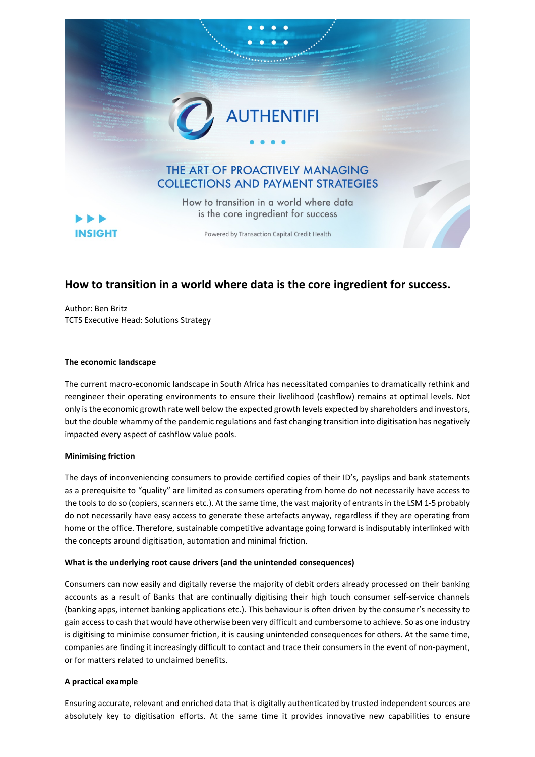

# **How to transition in a world where data is the core ingredient for success.**

Author: Ben Britz TCTS Executive Head: Solutions Strategy

### **The economic landscape**

The current macro-economic landscape in South Africa has necessitated companies to dramatically rethink and reengineer their operating environments to ensure their livelihood (cashflow) remains at optimal levels. Not only is the economic growth rate well below the expected growth levels expected by shareholders and investors, but the double whammy of the pandemic regulations and fast changing transition into digitisation has negatively impacted every aspect of cashflow value pools.

### **Minimising friction**

The days of inconveniencing consumers to provide certified copies of their ID's, payslips and bank statements as a prerequisite to "quality" are limited as consumers operating from home do not necessarily have access to the tools to do so (copiers, scanners etc.). At the same time, the vast majority of entrants in the LSM 1-5 probably do not necessarily have easy access to generate these artefacts anyway, regardless if they are operating from home or the office. Therefore, sustainable competitive advantage going forward is indisputably interlinked with the concepts around digitisation, automation and minimal friction.

### **What is the underlying root cause drivers (and the unintended consequences)**

Consumers can now easily and digitally reverse the majority of debit orders already processed on their banking accounts as a result of Banks that are continually digitising their high touch consumer self-service channels (banking apps, internet banking applications etc.). This behaviour is often driven by the consumer's necessity to gain access to cash that would have otherwise been very difficult and cumbersome to achieve. So as one industry is digitising to minimise consumer friction, it is causing unintended consequences for others. At the same time, companies are finding it increasingly difficult to contact and trace their consumers in the event of non-payment, or for matters related to unclaimed benefits.

## **A practical example**

Ensuring accurate, relevant and enriched data that is digitally authenticated by trusted independent sources are absolutely key to digitisation efforts. At the same time it provides innovative new capabilities to ensure